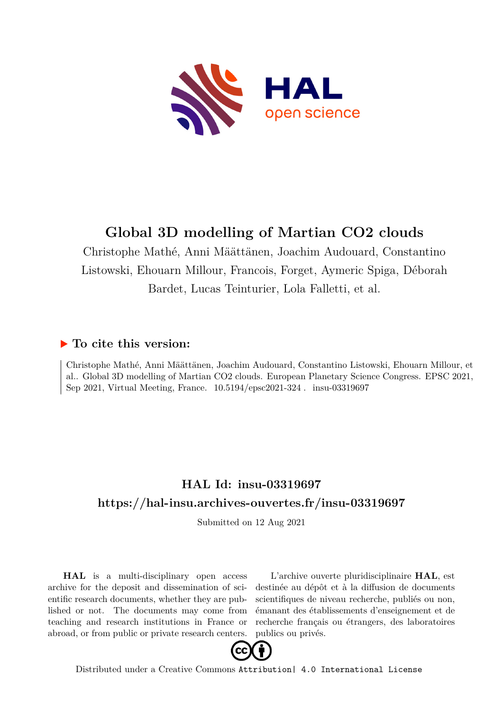

## **Global 3D modelling of Martian CO2 clouds**

Christophe Mathé, Anni Määttänen, Joachim Audouard, Constantino Listowski, Ehouarn Millour, Francois, Forget, Aymeric Spiga, Déborah Bardet, Lucas Teinturier, Lola Falletti, et al.

## **To cite this version:**

Christophe Mathé, Anni Määttänen, Joachim Audouard, Constantino Listowski, Ehouarn Millour, et al.. Global 3D modelling of Martian CO2 clouds. European Planetary Science Congress. EPSC 2021, Sep 2021, Virtual Meeting, France.  $10.5194$ /epsc2021-324. insu-03319697

## **HAL Id: insu-03319697 <https://hal-insu.archives-ouvertes.fr/insu-03319697>**

Submitted on 12 Aug 2021

**HAL** is a multi-disciplinary open access archive for the deposit and dissemination of scientific research documents, whether they are published or not. The documents may come from teaching and research institutions in France or abroad, or from public or private research centers.

L'archive ouverte pluridisciplinaire **HAL**, est destinée au dépôt et à la diffusion de documents scientifiques de niveau recherche, publiés ou non, émanant des établissements d'enseignement et de recherche français ou étrangers, des laboratoires publics ou privés.



Distributed under a Creative Commons [Attribution| 4.0 International License](http://creativecommons.org/licenses/by/4.0/)